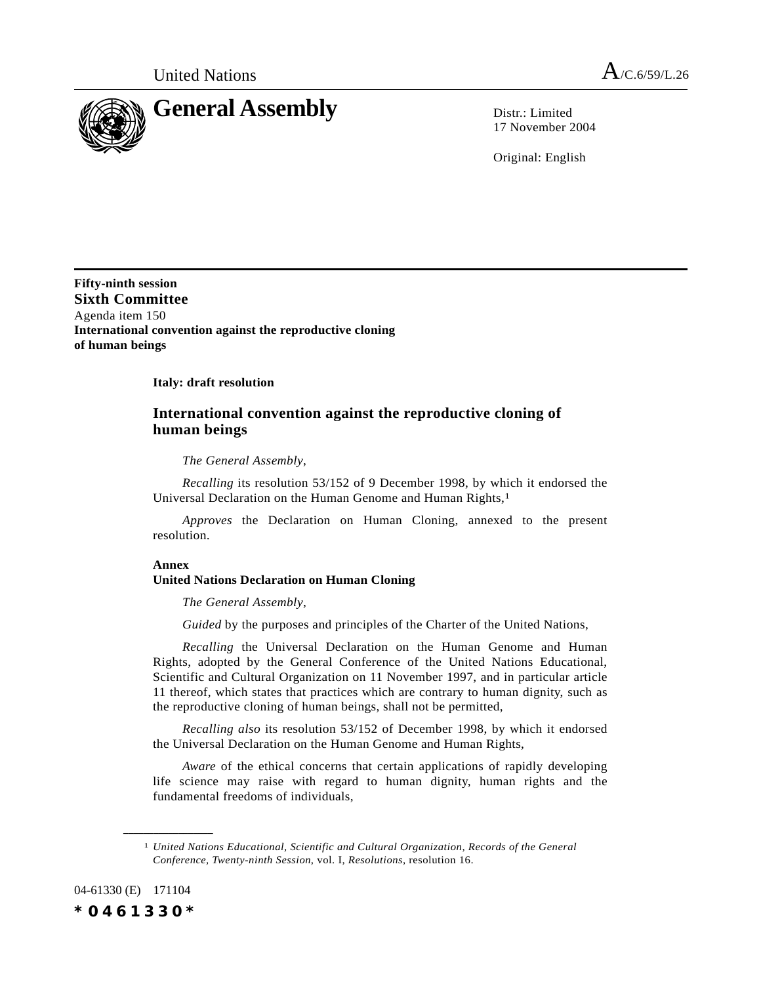

17 November 2004

Original: English

**Fifty-ninth session Sixth Committee** Agenda item 150 **International convention against the reproductive cloning of human beings**

**Italy: draft resolution**

## **International convention against the reproductive cloning of human beings**

*The General Assembly*,

*Recalling* its resolution 53/152 of 9 December 1998, by which it endorsed the Universal Declaration on the Human Genome and Human Rights,<sup>1</sup>

*Approves* the Declaration on Human Cloning, annexed to the present resolution.

## **Annex**

## **United Nations Declaration on Human Cloning**

*The General Assembly*,

*Guided* by the purposes and principles of the Charter of the United Nations,

*Recalling* the Universal Declaration on the Human Genome and Human Rights, adopted by the General Conference of the United Nations Educational, Scientific and Cultural Organization on 11 November 1997, and in particular article 11 thereof, which states that practices which are contrary to human dignity, such as the reproductive cloning of human beings, shall not be permitted,

*Recalling also* its resolution 53/152 of December 1998, by which it endorsed the Universal Declaration on the Human Genome and Human Rights,

*Aware* of the ethical concerns that certain applications of rapidly developing life science may raise with regard to human dignity, human rights and the fundamental freedoms of individuals,

04-61330 (E) 171104 *\*0461330\**

**\_\_\_\_\_\_\_\_\_\_\_\_\_\_\_\_\_\_**

<sup>1</sup> *United Nations Educational, Scientific and Cultural Organization, Records of the General Conference, Twenty-ninth Session*, vol. I, *Resolutions*, resolution 16.